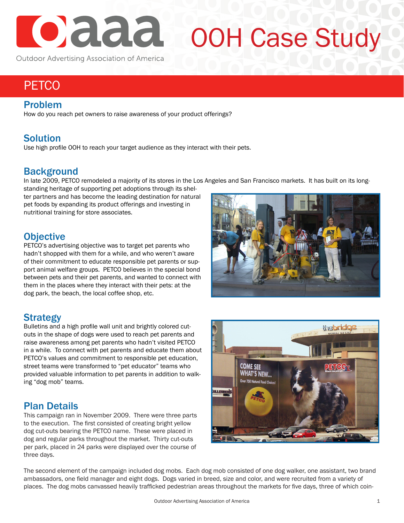

# OOH Case Study

Outdoor Advertising Association of America

## **PETCO**

#### Problem

How do you reach pet owners to raise awareness of your product offerings?

## **Solution**

Use high profile OOH to reach your target audience as they interact with their pets.

## **Background**

In late 2009, PETCO remodeled a majority of its stores in the Los Angeles and San Francisco markets. It has built on its long-

standing heritage of supporting pet adoptions through its shelter partners and has become the leading destination for natural pet foods by expanding its product offerings and investing in nutritional training for store associates.

#### **Objective**

PETCO's advertising objective was to target pet parents who hadn't shopped with them for a while, and who weren't aware of their commitment to educate responsible pet parents or support animal welfare groups. PETCO believes in the special bond between pets and their pet parents, and wanted to connect with them in the places where they interact with their pets: at the dog park, the beach, the local coffee shop, etc.

## Strategy

Bulletins and a high profile wall unit and brightly colored cutouts in the shape of dogs were used to reach pet parents and raise awareness among pet parents who hadn't visited PETCO in a while. To connect with pet parents and educate them about PETCO's values and commitment to responsible pet education, street teams were transformed to "pet educator" teams who provided valuable information to pet parents in addition to walking "dog mob" teams.

## Plan Details

This campaign ran in November 2009. There were three parts to the execution. The first consisted of creating bright yellow dog cut-outs bearing the PETCO name. These were placed in dog and regular parks throughout the market. Thirty cut-outs per park, placed in 24 parks were displayed over the course of three days.





The second element of the campaign included dog mobs. Each dog mob consisted of one dog walker, one assistant, two brand ambassadors, one field manager and eight dogs. Dogs varied in breed, size and color, and were recruited from a variety of places. The dog mobs canvassed heavily trafficked pedestrian areas throughout the markets for five days, three of which coin